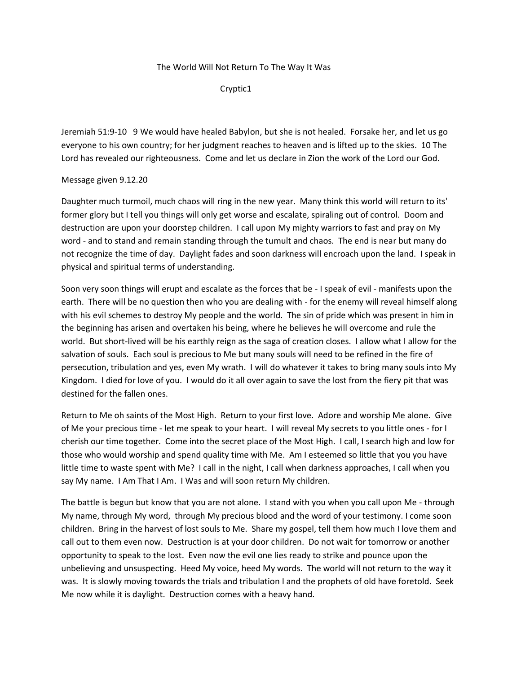## The World Will Not Return To The Way It Was

Cryptic1

Jeremiah 51:9-10 9 We would have healed Babylon, but she is not healed. Forsake her, and let us go everyone to his own country; for her judgment reaches to heaven and is lifted up to the skies. 10 The Lord has revealed our righteousness. Come and let us declare in Zion the work of the Lord our God.

## Message given 9.12.20

Daughter much turmoil, much chaos will ring in the new year. Many think this world will return to its' former glory but I tell you things will only get worse and escalate, spiraling out of control. Doom and destruction are upon your doorstep children. I call upon My mighty warriors to fast and pray on My word - and to stand and remain standing through the tumult and chaos. The end is near but many do not recognize the time of day. Daylight fades and soon darkness will encroach upon the land. I speak in physical and spiritual terms of understanding.

Soon very soon things will erupt and escalate as the forces that be - I speak of evil - manifests upon the earth. There will be no question then who you are dealing with - for the enemy will reveal himself along with his evil schemes to destroy My people and the world. The sin of pride which was present in him in the beginning has arisen and overtaken his being, where he believes he will overcome and rule the world. But short-lived will be his earthly reign as the saga of creation closes. I allow what I allow for the salvation of souls. Each soul is precious to Me but many souls will need to be refined in the fire of persecution, tribulation and yes, even My wrath. I will do whatever it takes to bring many souls into My Kingdom. I died for love of you. I would do it all over again to save the lost from the fiery pit that was destined for the fallen ones.

Return to Me oh saints of the Most High. Return to your first love. Adore and worship Me alone. Give of Me your precious time - let me speak to your heart. I will reveal My secrets to you little ones - for I cherish our time together. Come into the secret place of the Most High. I call, I search high and low for those who would worship and spend quality time with Me. Am I esteemed so little that you you have little time to waste spent with Me? I call in the night, I call when darkness approaches, I call when you say My name. I Am That I Am. I Was and will soon return My children.

The battle is begun but know that you are not alone. I stand with you when you call upon Me - through My name, through My word, through My precious blood and the word of your testimony. I come soon children. Bring in the harvest of lost souls to Me. Share my gospel, tell them how much I love them and call out to them even now. Destruction is at your door children. Do not wait for tomorrow or another opportunity to speak to the lost. Even now the evil one lies ready to strike and pounce upon the unbelieving and unsuspecting. Heed My voice, heed My words. The world will not return to the way it was. It is slowly moving towards the trials and tribulation I and the prophets of old have foretold. Seek Me now while it is daylight. Destruction comes with a heavy hand.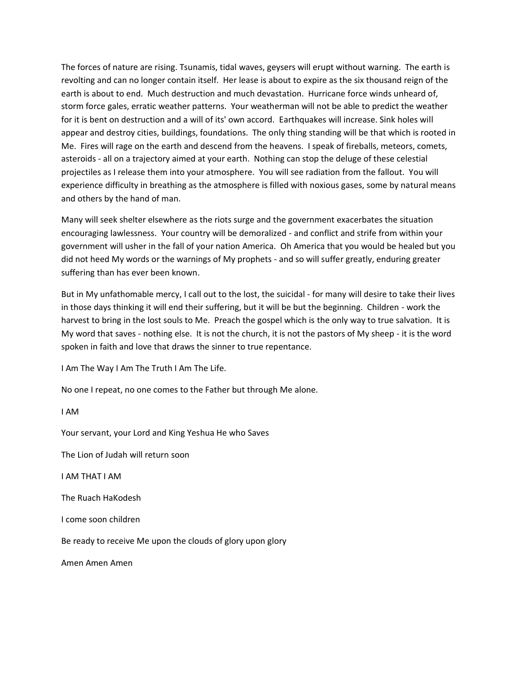The forces of nature are rising. Tsunamis, tidal waves, geysers will erupt without warning. The earth is revolting and can no longer contain itself. Her lease is about to expire as the six thousand reign of the earth is about to end. Much destruction and much devastation. Hurricane force winds unheard of, storm force gales, erratic weather patterns. Your weatherman will not be able to predict the weather for it is bent on destruction and a will of its' own accord. Earthquakes will increase. Sink holes will appear and destroy cities, buildings, foundations. The only thing standing will be that which is rooted in Me. Fires will rage on the earth and descend from the heavens. I speak of fireballs, meteors, comets, asteroids - all on a trajectory aimed at your earth. Nothing can stop the deluge of these celestial projectiles as I release them into your atmosphere. You will see radiation from the fallout. You will experience difficulty in breathing as the atmosphere is filled with noxious gases, some by natural means and others by the hand of man.

Many will seek shelter elsewhere as the riots surge and the government exacerbates the situation encouraging lawlessness. Your country will be demoralized - and conflict and strife from within your government will usher in the fall of your nation America. Oh America that you would be healed but you did not heed My words or the warnings of My prophets - and so will suffer greatly, enduring greater suffering than has ever been known.

But in My unfathomable mercy, I call out to the lost, the suicidal - for many will desire to take their lives in those days thinking it will end their suffering, but it will be but the beginning. Children - work the harvest to bring in the lost souls to Me. Preach the gospel which is the only way to true salvation. It is My word that saves - nothing else. It is not the church, it is not the pastors of My sheep - it is the word spoken in faith and love that draws the sinner to true repentance.

I Am The Way I Am The Truth I Am The Life.

No one I repeat, no one comes to the Father but through Me alone.

I AM Your servant, your Lord and King Yeshua He who Saves The Lion of Judah will return soon I AM THAT I AM The Ruach HaKodesh I come soon children Be ready to receive Me upon the clouds of glory upon glory Amen Amen Amen